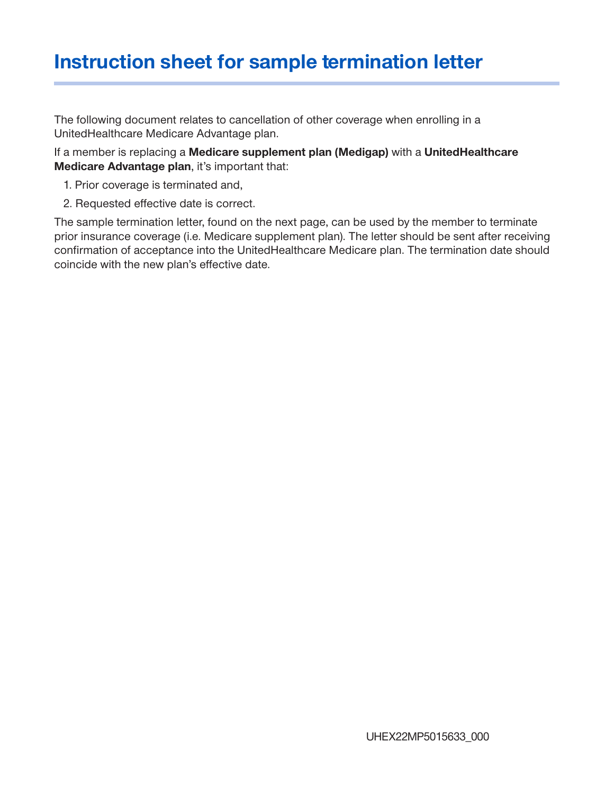## **Instruction sheet for sample termination letter**

The following document relates to cancellation of other coverage when enrolling in a UnitedHealthcare Medicare Advantage plan.

If a member is replacing a **Medicare supplement plan (Medigap)** with a **UnitedHealthcare Medicare Advantage plan**, it's important that:

- 1. Prior coverage is terminated and,
- 2. Requested effective date is correct.

The sample termination letter, found on the next page, can be used by the member to terminate prior insurance coverage (i.e. Medicare supplement plan). The letter should be sent after receiving confirmation of acceptance into the UnitedHealthcare Medicare plan. The termination date should coincide with the new plan's effective date.